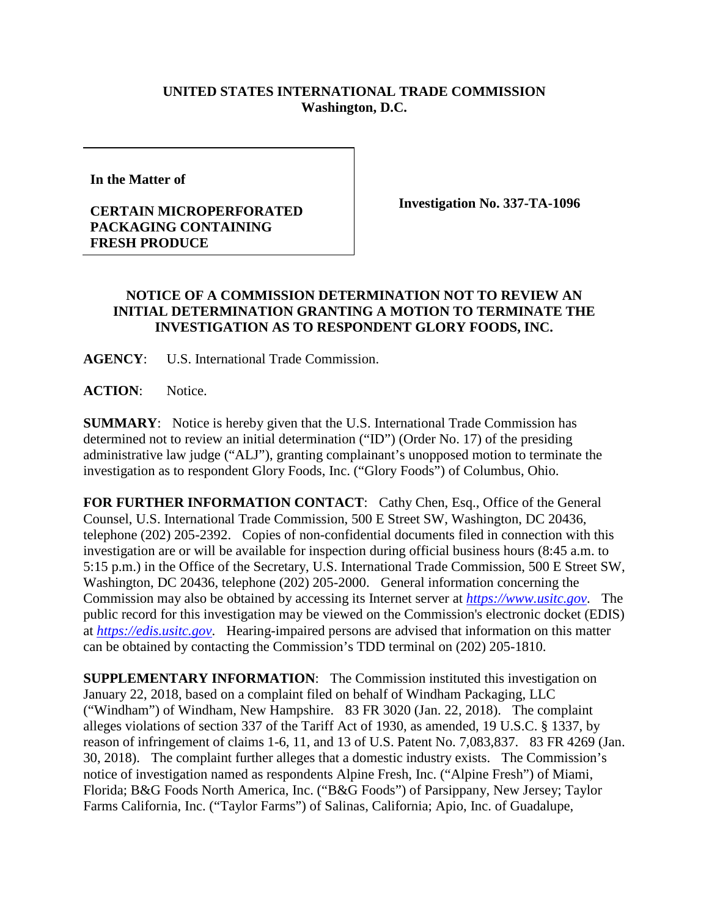## **UNITED STATES INTERNATIONAL TRADE COMMISSION Washington, D.C.**

**In the Matter of** 

## **CERTAIN MICROPERFORATED PACKAGING CONTAINING FRESH PRODUCE**

**Investigation No. 337-TA-1096**

## **NOTICE OF A COMMISSION DETERMINATION NOT TO REVIEW AN INITIAL DETERMINATION GRANTING A MOTION TO TERMINATE THE INVESTIGATION AS TO RESPONDENT GLORY FOODS, INC.**

**AGENCY**: U.S. International Trade Commission.

**ACTION**: Notice.

**SUMMARY**: Notice is hereby given that the U.S. International Trade Commission has determined not to review an initial determination ("ID") (Order No. 17) of the presiding administrative law judge ("ALJ"), granting complainant's unopposed motion to terminate the investigation as to respondent Glory Foods, Inc. ("Glory Foods") of Columbus, Ohio.

FOR FURTHER INFORMATION CONTACT: Cathy Chen, Esq., Office of the General Counsel, U.S. International Trade Commission, 500 E Street SW, Washington, DC 20436, telephone (202) 205-2392. Copies of non-confidential documents filed in connection with this investigation are or will be available for inspection during official business hours (8:45 a.m. to 5:15 p.m.) in the Office of the Secretary, U.S. International Trade Commission, 500 E Street SW, Washington, DC 20436, telephone (202) 205-2000. General information concerning the Commission may also be obtained by accessing its Internet server at *[https://www.usitc.gov](https://www.usitc.gov/)*. The public record for this investigation may be viewed on the Commission's electronic docket (EDIS) at *[https://edis.usitc.gov](https://edis.usitc.gov/)*. Hearing-impaired persons are advised that information on this matter can be obtained by contacting the Commission's TDD terminal on (202) 205-1810.

**SUPPLEMENTARY INFORMATION:** The Commission instituted this investigation on January 22, 2018, based on a complaint filed on behalf of Windham Packaging, LLC ("Windham") of Windham, New Hampshire. 83 FR 3020 (Jan. 22, 2018). The complaint alleges violations of section 337 of the Tariff Act of 1930, as amended, 19 U.S.C. § 1337, by reason of infringement of claims 1-6, 11, and 13 of U.S. Patent No. 7,083,837. 83 FR 4269 (Jan. 30, 2018). The complaint further alleges that a domestic industry exists. The Commission's notice of investigation named as respondents Alpine Fresh, Inc. ("Alpine Fresh") of Miami, Florida; B&G Foods North America, Inc. ("B&G Foods") of Parsippany, New Jersey; Taylor Farms California, Inc. ("Taylor Farms") of Salinas, California; Apio, Inc. of Guadalupe,